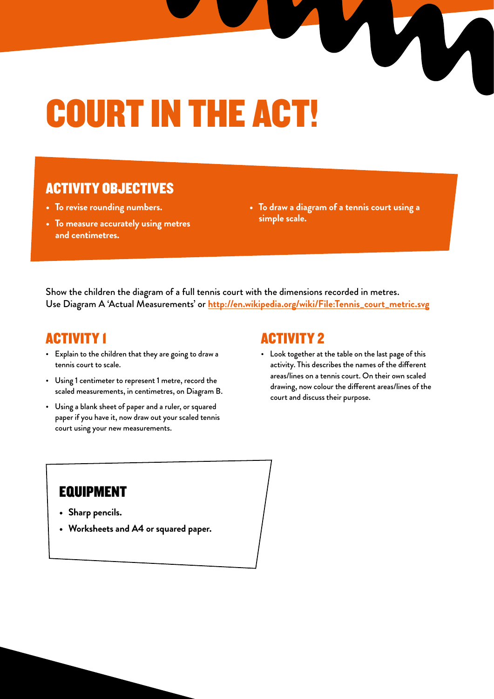# COURT IN THE ACT!

#### ACTIVITY OBJECTIVES

- **• To revise rounding numbers.**
- **• To measure accurately using metres and centimetres.**
- **• To draw a diagram of a tennis court using a simple scale.**

T

Show the children the diagram of a full tennis court with the dimensions recorded in metres. Use Diagram A 'Actual Measurements' or **http://en.wikipedia.org/wiki/File:Tennis\_court\_metric.svg**

#### ACTIVITY 1

- Explain to the children that they are going to draw a tennis court to scale.
- Using 1 centimeter to represent 1 metre, record the scaled measurements, in centimetres, on Diagram B.
- Using a blank sheet of paper and a ruler, or squared paper if you have it, now draw out your scaled tennis court using your new measurements.

#### ACTIVITY 2

• Look together at the table on the last page of this activity. This describes the names of the different areas/lines on a tennis court. On their own scaled drawing, now colour the different areas/lines of the court and discuss their purpose.

### EQUIPMENT

- **• Sharp pencils.**
- **• Worksheets and A4 or squared paper.**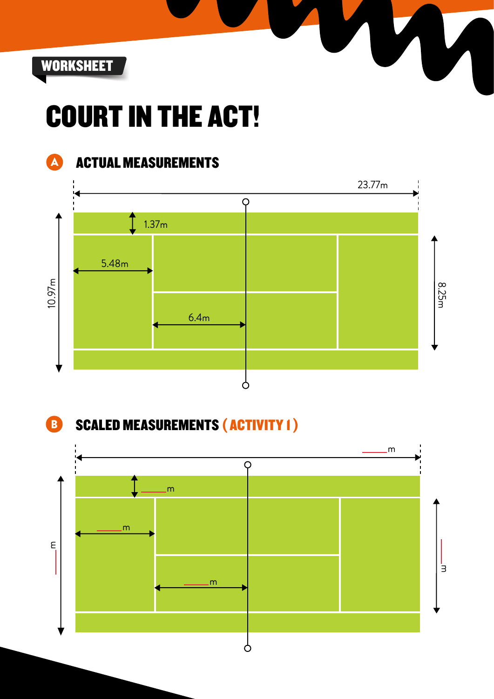

## COURT IN THE ACT!



### **A ACTUAL MEASUREMENTS**